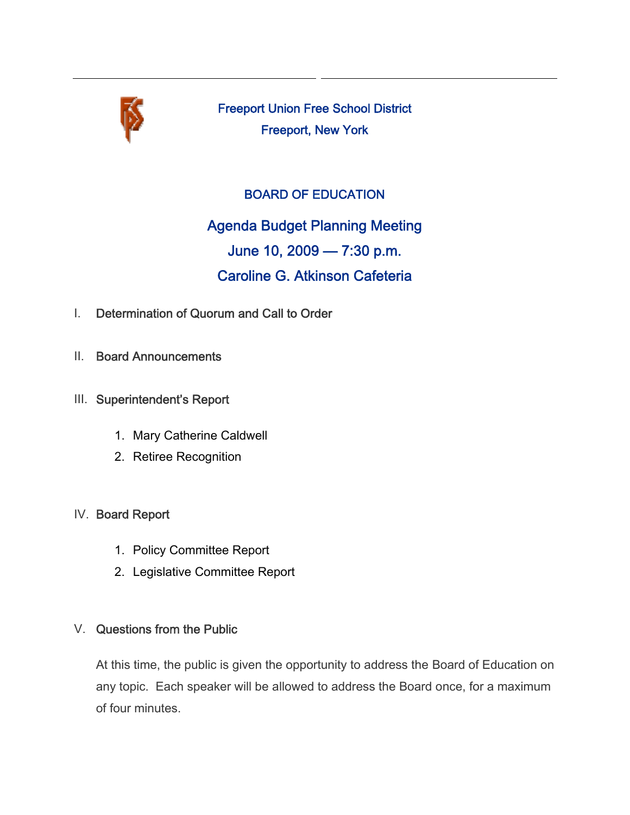

Freeport Union Free School District Freeport, New York

## BOARD OF EDUCATION

Agenda Budget Planning Meeting June 10, 2009 — 7:30 p.m. Caroline G. Atkinson Cafeteria

- I. Determination of Quorum and Call to Order
- II. Board Announcements
- III. Superintendent's Report
	- 1. Mary Catherine Caldwell
	- 2. Retiree Recognition

## IV. Board Report

- 1. Policy Committee Report
- 2. Legislative Committee Report

## V. Questions from the Public

At this time, the public is given the opportunity to address the Board of Education on any topic. Each speaker will be allowed to address the Board once, for a maximum of four minutes.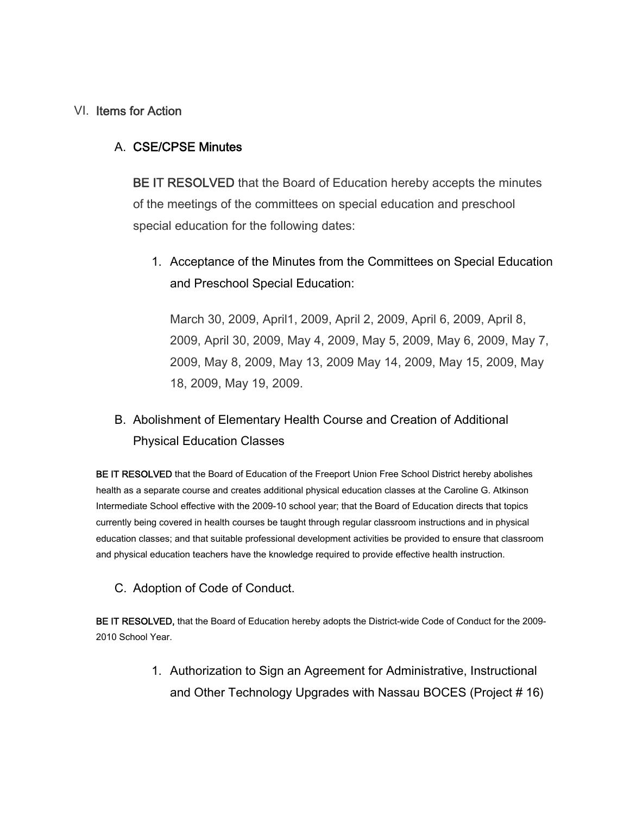### VI. Items for Action

### A. CSE/CPSE Minutes

BE IT RESOLVED that the Board of Education hereby accepts the minutes of the meetings of the committees on special education and preschool special education for the following dates:

1. Acceptance of the Minutes from the Committees on Special Education and Preschool Special Education:

March 30, 2009, April1, 2009, April 2, 2009, April 6, 2009, April 8, 2009, April 30, 2009, May 4, 2009, May 5, 2009, May 6, 2009, May 7, 2009, May 8, 2009, May 13, 2009 May 14, 2009, May 15, 2009, May 18, 2009, May 19, 2009.

# B. Abolishment of Elementary Health Course and Creation of Additional Physical Education Classes

BE IT RESOLVED that the Board of Education of the Freeport Union Free School District hereby abolishes health as a separate course and creates additional physical education classes at the Caroline G. Atkinson Intermediate School effective with the 2009-10 school year; that the Board of Education directs that topics currently being covered in health courses be taught through regular classroom instructions and in physical education classes; and that suitable professional development activities be provided to ensure that classroom and physical education teachers have the knowledge required to provide effective health instruction.

#### C. Adoption of Code of Conduct.

BE IT RESOLVED, that the Board of Education hereby adopts the District-wide Code of Conduct for the 2009- 2010 School Year.

> 1. Authorization to Sign an Agreement for Administrative, Instructional and Other Technology Upgrades with Nassau BOCES (Project # 16)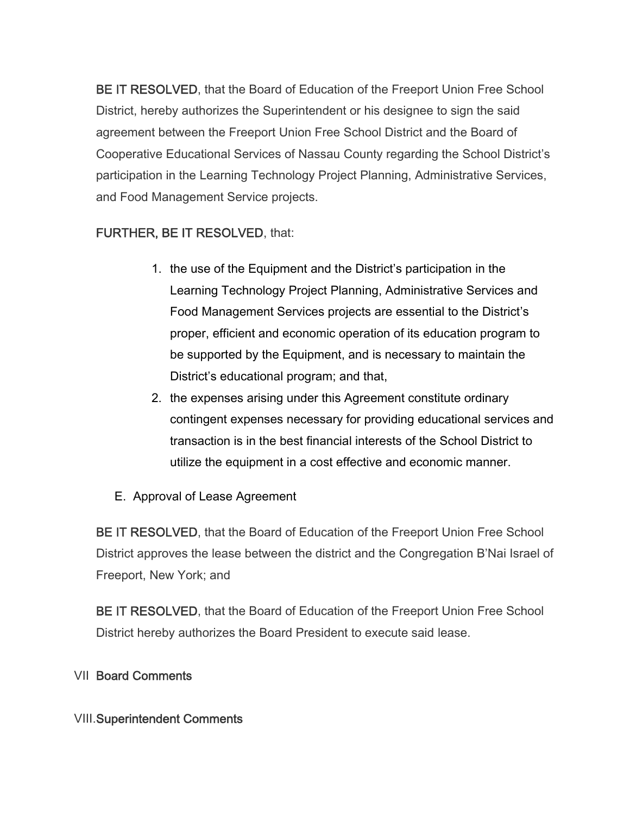BE IT RESOLVED, that the Board of Education of the Freeport Union Free School District, hereby authorizes the Superintendent or his designee to sign the said agreement between the Freeport Union Free School District and the Board of Cooperative Educational Services of Nassau County regarding the School District's participation in the Learning Technology Project Planning, Administrative Services, and Food Management Service projects.

# FURTHER, BE IT RESOLVED, that:

- 1. the use of the Equipment and the District's participation in the Learning Technology Project Planning, Administrative Services and Food Management Services projects are essential to the District's proper, efficient and economic operation of its education program to be supported by the Equipment, and is necessary to maintain the District's educational program; and that,
- 2. the expenses arising under this Agreement constitute ordinary contingent expenses necessary for providing educational services and transaction is in the best financial interests of the School District to utilize the equipment in a cost effective and economic manner.
- E. Approval of Lease Agreement

BE IT RESOLVED, that the Board of Education of the Freeport Union Free School District approves the lease between the district and the Congregation B'Nai Israel of Freeport, New York; and

BE IT RESOLVED, that the Board of Education of the Freeport Union Free School District hereby authorizes the Board President to execute said lease.

## VII Board Comments

## VIII.Superintendent Comments